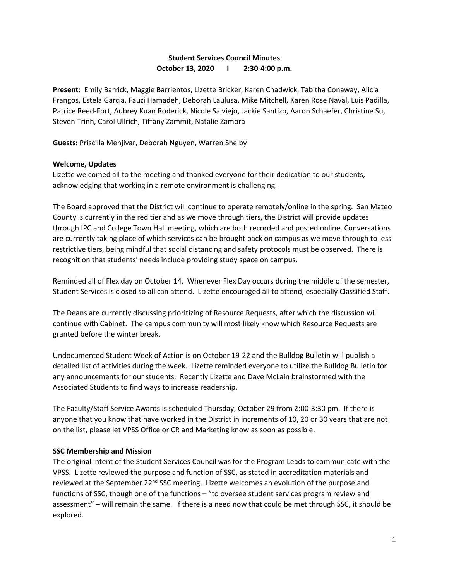## **Student Services Council Minutes October 13, 2020 I 2:30-4:00 p.m.**

**Present:** Emily Barrick, Maggie Barrientos, Lizette Bricker, Karen Chadwick, Tabitha Conaway, Alicia Frangos, Estela Garcia, Fauzi Hamadeh, Deborah Laulusa, Mike Mitchell, Karen Rose Naval, Luis Padilla, Patrice Reed-Fort, Aubrey Kuan Roderick, Nicole Salviejo, Jackie Santizo, Aaron Schaefer, Christine Su, Steven Trinh, Carol Ullrich, Tiffany Zammit, Natalie Zamora

**Guests:** Priscilla Menjivar, Deborah Nguyen, Warren Shelby

## **Welcome, Updates**

Lizette welcomed all to the meeting and thanked everyone for their dedication to our students, acknowledging that working in a remote environment is challenging.

The Board approved that the District will continue to operate remotely/online in the spring. San Mateo County is currently in the red tier and as we move through tiers, the District will provide updates through IPC and College Town Hall meeting, which are both recorded and posted online. Conversations are currently taking place of which services can be brought back on campus as we move through to less restrictive tiers, being mindful that social distancing and safety protocols must be observed. There is recognition that students' needs include providing study space on campus.

Reminded all of Flex day on October 14. Whenever Flex Day occurs during the middle of the semester, Student Services is closed so all can attend. Lizette encouraged all to attend, especially Classified Staff.

The Deans are currently discussing prioritizing of Resource Requests, after which the discussion will continue with Cabinet. The campus community will most likely know which Resource Requests are granted before the winter break.

Undocumented Student Week of Action is on October 19-22 and the Bulldog Bulletin will publish a detailed list of activities during the week. Lizette reminded everyone to utilize the Bulldog Bulletin for any announcements for our students. Recently Lizette and Dave McLain brainstormed with the Associated Students to find ways to increase readership.

The Faculty/Staff Service Awards is scheduled Thursday, October 29 from 2:00-3:30 pm. If there is anyone that you know that have worked in the District in increments of 10, 20 or 30 years that are not on the list, please let VPSS Office or CR and Marketing know as soon as possible.

## **SSC Membership and Mission**

The original intent of the Student Services Council was for the Program Leads to communicate with the VPSS. Lizette reviewed the purpose and function of SSC, as stated in accreditation materials and reviewed at the September 22<sup>nd</sup> SSC meeting. Lizette welcomes an evolution of the purpose and functions of SSC, though one of the functions – "to oversee student services program review and assessment" – will remain the same. If there is a need now that could be met through SSC, it should be explored.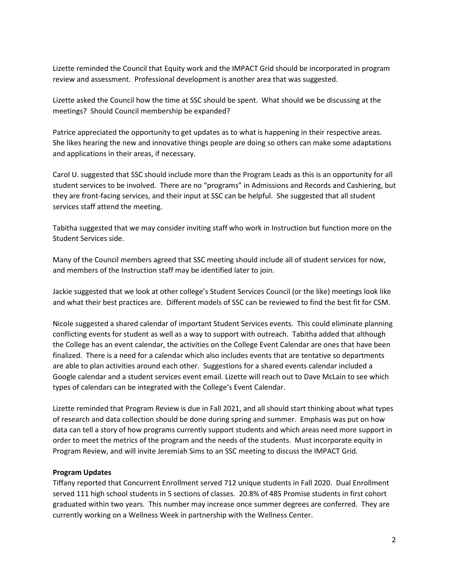Lizette reminded the Council that Equity work and the IMPACT Grid should be incorporated in program review and assessment. Professional development is another area that was suggested.

Lizette asked the Council how the time at SSC should be spent. What should we be discussing at the meetings? Should Council membership be expanded?

Patrice appreciated the opportunity to get updates as to what is happening in their respective areas. She likes hearing the new and innovative things people are doing so others can make some adaptations and applications in their areas, if necessary.

Carol U. suggested that SSC should include more than the Program Leads as this is an opportunity for all student services to be involved. There are no "programs" in Admissions and Records and Cashiering, but they are front-facing services, and their input at SSC can be helpful. She suggested that all student services staff attend the meeting.

Tabitha suggested that we may consider inviting staff who work in Instruction but function more on the Student Services side.

Many of the Council members agreed that SSC meeting should include all of student services for now, and members of the Instruction staff may be identified later to join.

Jackie suggested that we look at other college's Student Services Council (or the like) meetings look like and what their best practices are. Different models of SSC can be reviewed to find the best fit for CSM.

Nicole suggested a shared calendar of important Student Services events. This could eliminate planning conflicting events for student as well as a way to support with outreach. Tabitha added that although the College has an event calendar, the activities on the College Event Calendar are ones that have been finalized. There is a need for a calendar which also includes events that are tentative so departments are able to plan activities around each other. Suggestions for a shared events calendar included a Google calendar and a student services event email. Lizette will reach out to Dave McLain to see which types of calendars can be integrated with the College's Event Calendar.

Lizette reminded that Program Review is due in Fall 2021, and all should start thinking about what types of research and data collection should be done during spring and summer. Emphasis was put on how data can tell a story of how programs currently support students and which areas need more support in order to meet the metrics of the program and the needs of the students. Must incorporate equity in Program Review, and will invite Jeremiah Sims to an SSC meeting to discuss the IMPACT Grid.

## **Program Updates**

Tiffany reported that Concurrent Enrollment served 712 unique students in Fall 2020. Dual Enrollment served 111 high school students in 5 sections of classes. 20.8% of 485 Promise students in first cohort graduated within two years. This number may increase once summer degrees are conferred. They are currently working on a Wellness Week in partnership with the Wellness Center.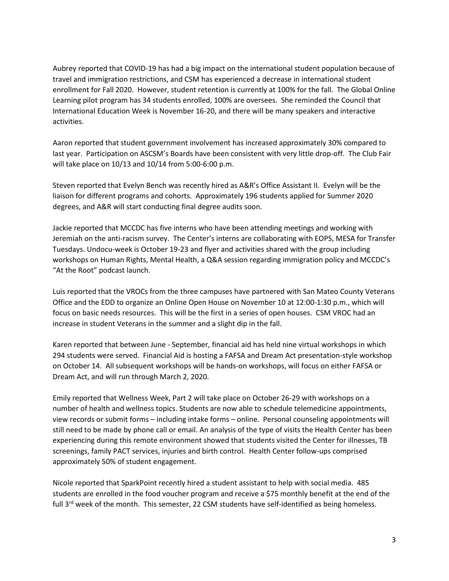Aubrey reported that COVID-19 has had a big impact on the international student population because of travel and immigration restrictions, and CSM has experienced a decrease in international student enrollment for Fall 2020. However, student retention is currently at 100% for the fall. The Global Online Learning pilot program has 34 students enrolled, 100% are oversees. She reminded the Council that International Education Week is November 16-20, and there will be many speakers and interactive activities.

Aaron reported that student government involvement has increased approximately 30% compared to last year. Participation on ASCSM's Boards have been consistent with very little drop-off. The Club Fair will take place on 10/13 and 10/14 from 5:00-6:00 p.m.

Steven reported that Evelyn Bench was recently hired as A&R's Office Assistant II. Evelyn will be the liaison for different programs and cohorts. Approximately 196 students applied for Summer 2020 degrees, and A&R will start conducting final degree audits soon.

Jackie reported that MCCDC has five interns who have been attending meetings and working with Jeremiah on the anti-racism survey. The Center's interns are collaborating with EOPS, MESA for Transfer Tuesdays. Undocu-week is October 19-23 and flyer and activities shared with the group including workshops on Human Rights, Mental Health, a Q&A session regarding immigration policy and MCCDC's "At the Root" podcast launch.

Luis reported that the VROCs from the three campuses have partnered with San Mateo County Veterans Office and the EDD to organize an Online Open House on November 10 at 12:00-1:30 p.m., which will focus on basic needs resources. This will be the first in a series of open houses. CSM VROC had an increase in student Veterans in the summer and a slight dip in the fall.

Karen reported that between June - September, financial aid has held nine virtual workshops in which 294 students were served. Financial Aid is hosting a FAFSA and Dream Act presentation-style workshop on October 14. All subsequent workshops will be hands-on workshops, will focus on either FAFSA or Dream Act, and will run through March 2, 2020.

Emily reported that Wellness Week, Part 2 will take place on October 26-29 with workshops on a number of health and wellness topics. Students are now able to schedule telemedicine appointments, view records or submit forms – including intake forms – online. Personal counseling appointments will still need to be made by phone call or email. An analysis of the type of visits the Health Center has been experiencing during this remote environment showed that students visited the Center for illnesses, TB screenings, family PACT services, injuries and birth control. Health Center follow-ups comprised approximately 50% of student engagement.

Nicole reported that SparkPoint recently hired a student assistant to help with social media. 485 students are enrolled in the food voucher program and receive a \$75 monthly benefit at the end of the full  $3<sup>rd</sup>$  week of the month. This semester, 22 CSM students have self-identified as being homeless.